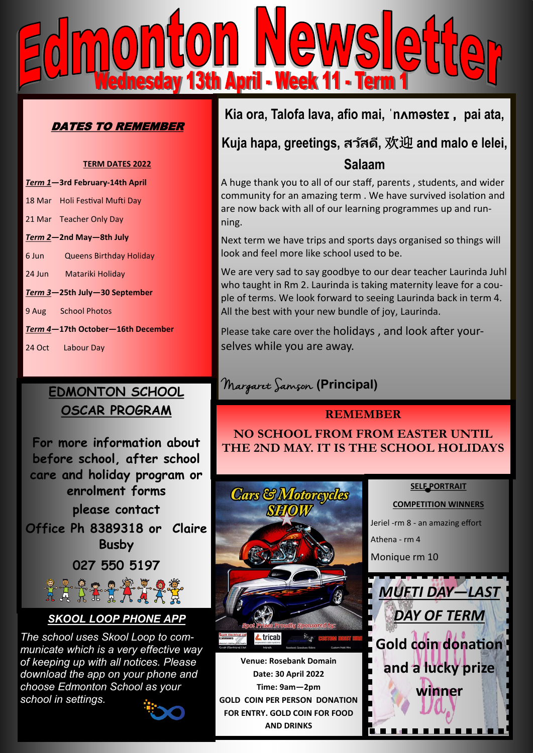

### DATES TO REMEMBER

#### **TERM DATES 2022**

| Term 1-3rd February-14th April    |                                |  |
|-----------------------------------|--------------------------------|--|
|                                   | 18 Mar Holi Festival Mufti Day |  |
|                                   | 21 Mar Teacher Only Day        |  |
| Term 2-2nd May-8th July           |                                |  |
|                                   | 6 Jun Queens Birthday Holiday  |  |
|                                   | 24 Jun Matariki Holiday        |  |
| Term 3-25th July-30 September     |                                |  |
|                                   | 9 Aug School Photos            |  |
| Term 4-17th October-16th December |                                |  |
|                                   | 24 Oct Labour Day              |  |

### **EDMONTON SCHOOL OSCAR PROGRAM**

**For more information about before school, after school care and holiday program or enrolment forms please contact Office Ph 8389318 or Claire Busby 027 550 5197**

Lårix:

### *SKOOL LOOP PHONE APP*

*The school uses Skool Loop to communicate which is a very effective way of keeping up with all notices. Please download the app on your phone and choose Edmonton School as your school in settings.*



## **Kia ora, Talofa lava, afio mai, ˈnʌməsteɪ , pai ata,**

# **Kuja hapa, greetings, สว ัสดี,** 欢迎 **and malo e lelei, Salaam**

A huge thank you to all of our staff, parents , students, and wider community for an amazing term . We have survived isolation and are now back with all of our learning programmes up and running.

Next term we have trips and sports days organised so things will look and feel more like school used to be.

We are very sad to say goodbye to our dear teacher Laurinda Juhl who taught in Rm 2. Laurinda is taking maternity leave for a couple of terms. We look forward to seeing Laurinda back in term 4. All the best with your new bundle of joy, Laurinda.

Please take care over the holidays , and look after yourselves while you are away.

# Margaret Samson **(Principal)**

#### **REMEMBER**

**NO SCHOOL FROM FROM EASTER UNTIL THE 2ND MAY. IT IS THE SCHOOL HOLIDAYS**



**FOR ENTRY. GOLD COIN FOR FOOD AND DRINKS** 



**SELF PORTRAIT** 

**COMPETITION WINNERS**